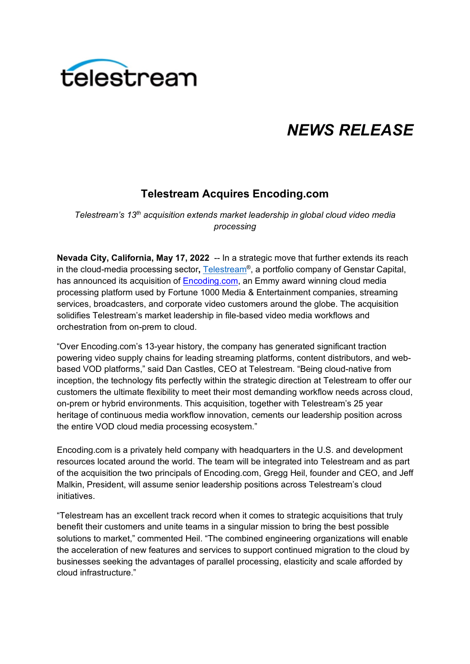

# *NEWS RELEASE*

## **Telestream Acquires Encoding.com**

*Telestream's 13th acquisition extends market leadership in global cloud video media processing* 

**Nevada City, California, May 17, 2022** -- In a strategic move that further extends its reach in the cloud-media processing sector**,** [Telestream®](https://www.telestream.net/), a portfolio company of Genstar Capital, has announced its acquisition of [Encoding.com,](https://www.encoding.com/) an Emmy award winning cloud media processing platform used by Fortune 1000 Media & Entertainment companies, streaming services, broadcasters, and corporate video customers around the globe. The acquisition solidifies Telestream's market leadership in file-based video media workflows and orchestration from on-prem to cloud.

"Over Encoding.com's 13-year history, the company has generated significant traction powering video supply chains for leading streaming platforms, content distributors, and webbased VOD platforms," said Dan Castles, CEO at Telestream. "Being cloud-native from inception, the technology fits perfectly within the strategic direction at Telestream to offer our customers the ultimate flexibility to meet their most demanding workflow needs across cloud, on-prem or hybrid environments. This acquisition, together with Telestream's 25 year heritage of continuous media workflow innovation, cements our leadership position across the entire VOD cloud media processing ecosystem."

Encoding.com is a privately held company with headquarters in the U.S. and development resources located around the world. The team will be integrated into Telestream and as part of the acquisition the two principals of Encoding.com, Gregg Heil, founder and CEO, and Jeff Malkin, President, will assume senior leadership positions across Telestream's cloud initiatives.

"Telestream has an excellent track record when it comes to strategic acquisitions that truly benefit their customers and unite teams in a singular mission to bring the best possible solutions to market," commented Heil. "The combined engineering organizations will enable the acceleration of new features and services to support continued migration to the cloud by businesses seeking the advantages of parallel processing, elasticity and scale afforded by cloud infrastructure."